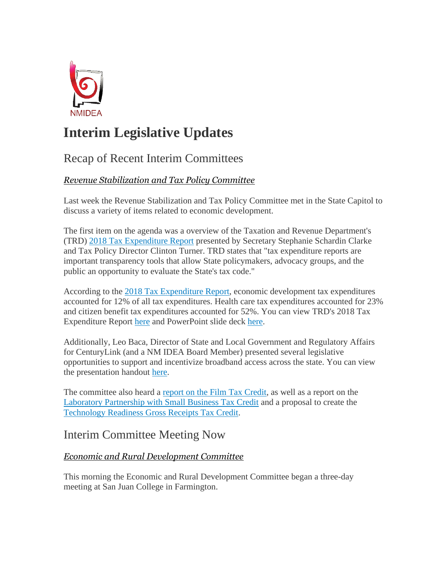

# **Interim Legislative Updates**

## Recap of Recent Interim Committees

#### *Revenue Stabilization and Tax Policy Committee*

Last week the Revenue Stabilization and Tax Policy Committee met in the State Capitol to discuss a variety of items related to economic development.

The first item on the agenda was a overview of the Taxation and Revenue Department's (TRD) [2018 Tax Expenditure Report](http://r20.rs6.net/tn.jsp?f=001JHISuJAmM5SLAtOiCrCYh2UAAVs9dlymNiDX6CBDzwkBmthF4XXECcxQ1hOArf65u6CGlCk1NeweSE-BurMgOPP_aSezAjBVbSo_hkhtM046zghFqzJ9d6EESdI--9G5aVC3keB20y_nW7MKkEXz7TDtWGjXDgT3qcN8-e9FwRqW6viTouTd68WZCH31pjkSh5FUkL0vT0YFmDFUuYuf3ACB11zmrFAZEEGURv72Tp7R1-35XgCm9G-jldjW_-ktbFrb5chOJ_zbtOBIIxRlSQ==&c=QP-l--YpbnVmDlNLVLT9DmwGX9O4Kf82vCXu26BgWMFfH6_8l3Bk8A==&ch=g0zbhR926Qb9twh95kayaXwX9h1yCkAuR4oM8Udg6IZLCF04bCebUQ==) presented by Secretary Stephanie Schardin Clarke and Tax Policy Director Clinton Turner. TRD states that "tax expenditure reports are important transparency tools that allow State policymakers, advocacy groups, and the public an opportunity to evaluate the State's tax code."

According to the [2018 Tax Expenditure Report,](http://r20.rs6.net/tn.jsp?f=001JHISuJAmM5SLAtOiCrCYh2UAAVs9dlymNiDX6CBDzwkBmthF4XXECcxQ1hOArf65u6CGlCk1NeweSE-BurMgOPP_aSezAjBVbSo_hkhtM046zghFqzJ9d6EESdI--9G5aVC3keB20y_nW7MKkEXz7TDtWGjXDgT3qcN8-e9FwRqW6viTouTd68WZCH31pjkSh5FUkL0vT0YFmDFUuYuf3ACB11zmrFAZEEGURv72Tp7R1-35XgCm9G-jldjW_-ktbFrb5chOJ_zbtOBIIxRlSQ==&c=QP-l--YpbnVmDlNLVLT9DmwGX9O4Kf82vCXu26BgWMFfH6_8l3Bk8A==&ch=g0zbhR926Qb9twh95kayaXwX9h1yCkAuR4oM8Udg6IZLCF04bCebUQ==) economic development tax expenditures accounted for 12% of all tax expenditures. Health care tax expenditures accounted for 23% and citizen benefit tax expenditures accounted for 52%. You can view TRD's 2018 Tax Expenditure Report [here](http://r20.rs6.net/tn.jsp?f=001JHISuJAmM5SLAtOiCrCYh2UAAVs9dlymNiDX6CBDzwkBmthF4XXECcxQ1hOArf65u6CGlCk1NeweSE-BurMgOPP_aSezAjBVbSo_hkhtM046zghFqzJ9d6EESdI--9G5aVC3keB20y_nW7MKkEXz7TDtWGjXDgT3qcN8-e9FwRqW6viTouTd68WZCH31pjkSh5FUkL0vT0YFmDFUuYuf3ACB11zmrFAZEEGURv72Tp7R1-35XgCm9G-jldjW_-ktbFrb5chOJ_zbtOBIIxRlSQ==&c=QP-l--YpbnVmDlNLVLT9DmwGX9O4Kf82vCXu26BgWMFfH6_8l3Bk8A==&ch=g0zbhR926Qb9twh95kayaXwX9h1yCkAuR4oM8Udg6IZLCF04bCebUQ==) and PowerPoint slide deck [here.](http://r20.rs6.net/tn.jsp?f=001JHISuJAmM5SLAtOiCrCYh2UAAVs9dlymNiDX6CBDzwkBmthF4XXECcxQ1hOArf65GnHShDN_DrOKpX2VOUgqy-SCGgMd5TsEcBLFa0IGEMPrVFmyhT8SbJEa0sgQBoSAR00RZ5w6aZ9Rtq_XB1Oalgcg7zjNFlN2ujr3qfU9182F-c9NCYrGJUK_20n3u9SQy2rqT0ty9YnzLioDt6PNr2JHPscLL4AIq9P3r5_iYYg=&c=QP-l--YpbnVmDlNLVLT9DmwGX9O4Kf82vCXu26BgWMFfH6_8l3Bk8A==&ch=g0zbhR926Qb9twh95kayaXwX9h1yCkAuR4oM8Udg6IZLCF04bCebUQ==)

Additionally, Leo Baca, Director of State and Local Government and Regulatory Affairs for CenturyLink (and a NM IDEA Board Member) presented several legislative opportunities to support and incentivize broadband access across the state. You can view the presentation handout [here.](http://r20.rs6.net/tn.jsp?f=001JHISuJAmM5SLAtOiCrCYh2UAAVs9dlymNiDX6CBDzwkBmthF4XXECcxQ1hOArf65LjNChRyi8YJP1WKgZxx85VK6DpN24g_uOKEBM7ZdW7sRi-pIJi7lT2maZmYWQn9Z0rTz0Sl099tBuGnH-Gm-rp_yGlXpXZKdCrYZOmtfT9DczTIz3Y08bVKz6VwsbD2jDZJlcZh8J0QVshssRuH9SFOnj-XsiAd5jO5WOG5YcaPJc_ol5VBJtJJmiFVSOfRwwg68QqRlulQmIw0ols0HPnFQ5-sNPJFy674wOAbfWGlI2z7IsEi8BM1qqqw5uHsZ&c=QP-l--YpbnVmDlNLVLT9DmwGX9O4Kf82vCXu26BgWMFfH6_8l3Bk8A==&ch=g0zbhR926Qb9twh95kayaXwX9h1yCkAuR4oM8Udg6IZLCF04bCebUQ==)

The committee also heard a [report on the Film Tax Credit,](http://r20.rs6.net/tn.jsp?f=001JHISuJAmM5SLAtOiCrCYh2UAAVs9dlymNiDX6CBDzwkBmthF4XXECcxQ1hOArf6534xkUsKxixyxX3Bxc7f3OtqKu3GzJIbRpDc3uqqTY4Js1lge6JaA9AZ341jDkyEkQ1G47xr71tmQIrtsNGCYM_jXD8VaXX7MLYqKZ7RiqNj0pi-nffCYSbyguVjF4pkdxw-P-BfFDnQz4Gfrn5nStllrX48JM4M3o7WbbFWTIpdLMEWSzLTXrg==&c=QP-l--YpbnVmDlNLVLT9DmwGX9O4Kf82vCXu26BgWMFfH6_8l3Bk8A==&ch=g0zbhR926Qb9twh95kayaXwX9h1yCkAuR4oM8Udg6IZLCF04bCebUQ==) as well as a report on the [Laboratory Partnership with Small Business Tax Credit](http://r20.rs6.net/tn.jsp?f=001JHISuJAmM5SLAtOiCrCYh2UAAVs9dlymNiDX6CBDzwkBmthF4XXECcxQ1hOArf650qwT9E72y5oomUrnSsulEpjDfj2XdND7e4EqNjXIFYt_HAXPK7Pyrc9goMORmvJ2ZwzwrPnYml8LFZFQDfeKe4t_ROmJFeByRM7gaxwPzxX8hhdaRpgGB8nQBYBi_cwpPFEZ3ab4O8R6rZbTohpxH3yKnZN7vdZer7YSCeQQ4MY=&c=QP-l--YpbnVmDlNLVLT9DmwGX9O4Kf82vCXu26BgWMFfH6_8l3Bk8A==&ch=g0zbhR926Qb9twh95kayaXwX9h1yCkAuR4oM8Udg6IZLCF04bCebUQ==) and a proposal to create the [Technology Readiness Gross Receipts Tax Credit.](http://r20.rs6.net/tn.jsp?f=001JHISuJAmM5SLAtOiCrCYh2UAAVs9dlymNiDX6CBDzwkBmthF4XXECcxQ1hOArf65bT4KE7GRV1-Jdnf8K6T0ZfCUvOPoqbwx_lSE6QZ7-kUpt4NUIK00hsmTUAThGMykqmiW8W8RJ0z3V9-wPMf25ftzEU2T1viBKa9KD86fPZwLLPIkV8j95GdimJDeOSChtGmziRGhEEyOLFj9baiyMJ96VsWbqMTRrrkXboJBbUW2T27nY9kc9hfBh0x207_UuU-f0uBfxDY28uZv34IH_gvA-wqeuvqhVeVfKvOBxzY=&c=QP-l--YpbnVmDlNLVLT9DmwGX9O4Kf82vCXu26BgWMFfH6_8l3Bk8A==&ch=g0zbhR926Qb9twh95kayaXwX9h1yCkAuR4oM8Udg6IZLCF04bCebUQ==)

### Interim Committee Meeting Now

#### *Economic and Rural Development Committee*

This morning the Economic and Rural Development Committee began a three-day meeting at San Juan College in Farmington.